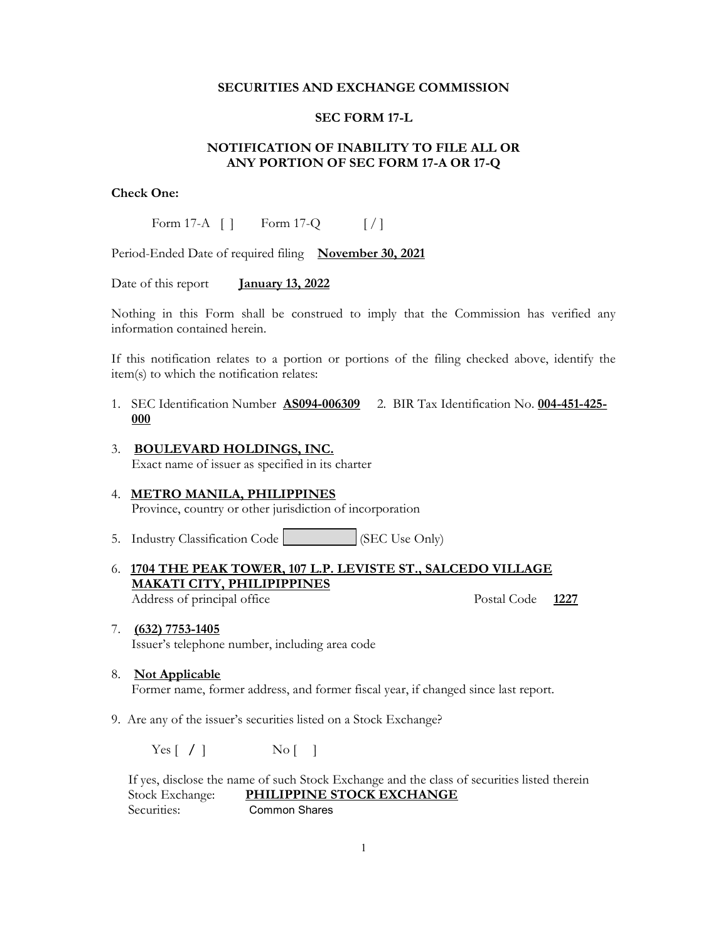### SECURITIES AND EXCHANGE COMMISSION

# SEC FORM 17-L

## NOTIFICATION OF INABILITY TO FILE ALL OR ANY PORTION OF SEC FORM 17-A OR 17-Q

### Check One:

Form 17-A  $\begin{bmatrix} \end{bmatrix}$  Form 17-Q  $\begin{bmatrix} \end{bmatrix}$ 

Period-Ended Date of required filing November 30, 2021

Date of this report **January 13, 2022** 

Nothing in this Form shall be construed to imply that the Commission has verified any information contained herein.

If this notification relates to a portion or portions of the filing checked above, identify the item(s) to which the notification relates:

- 1. SEC Identification Number AS094-006309 2. BIR Tax Identification No. 004-451-425- 000
- 3. BOULEVARD HOLDINGS, INC. Exact name of issuer as specified in its charter
- 4. METRO MANILA, PHILIPPINES Province, country or other jurisdiction of incorporation
- 5. Industry Classification Code (SEC Use Only)
- 6. 1704 THE PEAK TOWER, 107 L.P. LEVISTE ST., SALCEDO VILLAGE MAKATI CITY, PHILIPIPPINES Address of principal office The Postal Code 1227
	-
- 7. (632) 7753-1405 Issuer's telephone number, including area code
- 8. Not Applicable Former name, former address, and former fiscal year, if changed since last report.
- 9. Are any of the issuer's securities listed on a Stock Exchange?

 $Yes [ / ]$  No [ ]

 If yes, disclose the name of such Stock Exchange and the class of securities listed therein Stock Exchange: PHILIPPINE STOCK EXCHANGE Securities: Common Shares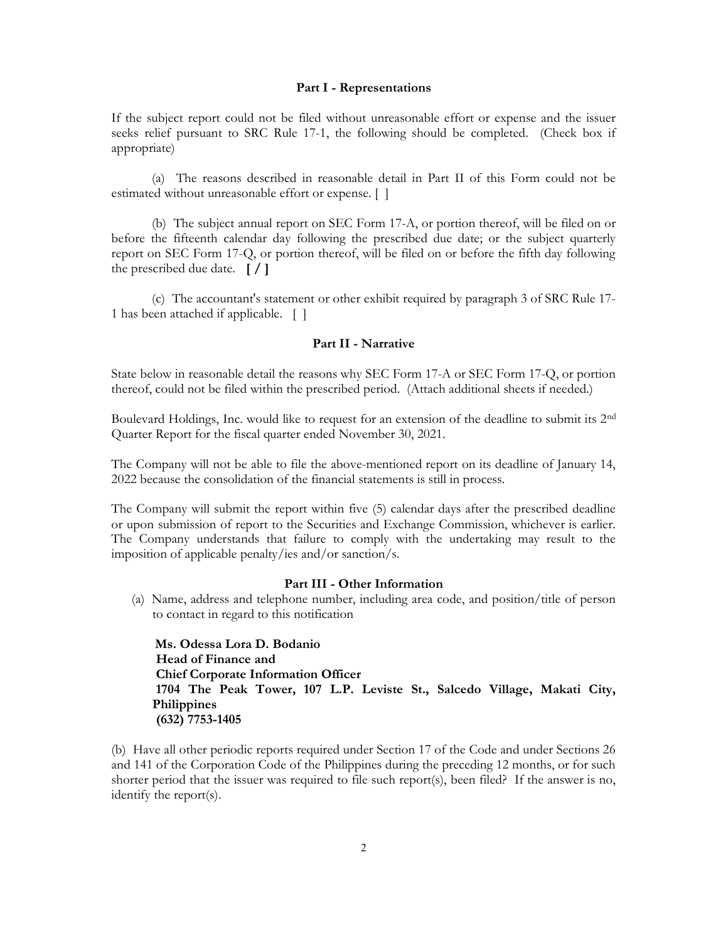#### Part I - Representations

If the subject report could not be filed without unreasonable effort or expense and the issuer seeks relief pursuant to SRC Rule 17-1, the following should be completed. (Check box if appropriate)

 (a) The reasons described in reasonable detail in Part II of this Form could not be estimated without unreasonable effort or expense. [ ]

 (b) The subject annual report on SEC Form 17-A, or portion thereof, will be filed on or before the fifteenth calendar day following the prescribed due date; or the subject quarterly report on SEC Form 17-Q, or portion thereof, will be filed on or before the fifth day following the prescribed due date.  $\lceil / \rceil$ 

 (c) The accountant's statement or other exhibit required by paragraph 3 of SRC Rule 17- 1 has been attached if applicable. [ ]

### Part II - Narrative

State below in reasonable detail the reasons why SEC Form 17-A or SEC Form 17-Q, or portion thereof, could not be filed within the prescribed period. (Attach additional sheets if needed.)

Boulevard Holdings, Inc. would like to request for an extension of the deadline to submit its 2nd Quarter Report for the fiscal quarter ended November 30, 2021.

The Company will not be able to file the above-mentioned report on its deadline of January 14, 2022 because the consolidation of the financial statements is still in process.

The Company will submit the report within five (5) calendar days after the prescribed deadline or upon submission of report to the Securities and Exchange Commission, whichever is earlier. The Company understands that failure to comply with the undertaking may result to the imposition of applicable penalty/ies and/or sanction/s.

### Part III - Other Information

(a) Name, address and telephone number, including area code, and position/title of person to contact in regard to this notification

 Ms. Odessa Lora D. Bodanio Head of Finance and Chief Corporate Information Officer 1704 The Peak Tower, 107 L.P. Leviste St., Salcedo Village, Makati City, **Philippines** (632) 7753-1405

(b) Have all other periodic reports required under Section 17 of the Code and under Sections 26 and 141 of the Corporation Code of the Philippines during the preceding 12 months, or for such shorter period that the issuer was required to file such report(s), been filed? If the answer is no, identify the report(s).